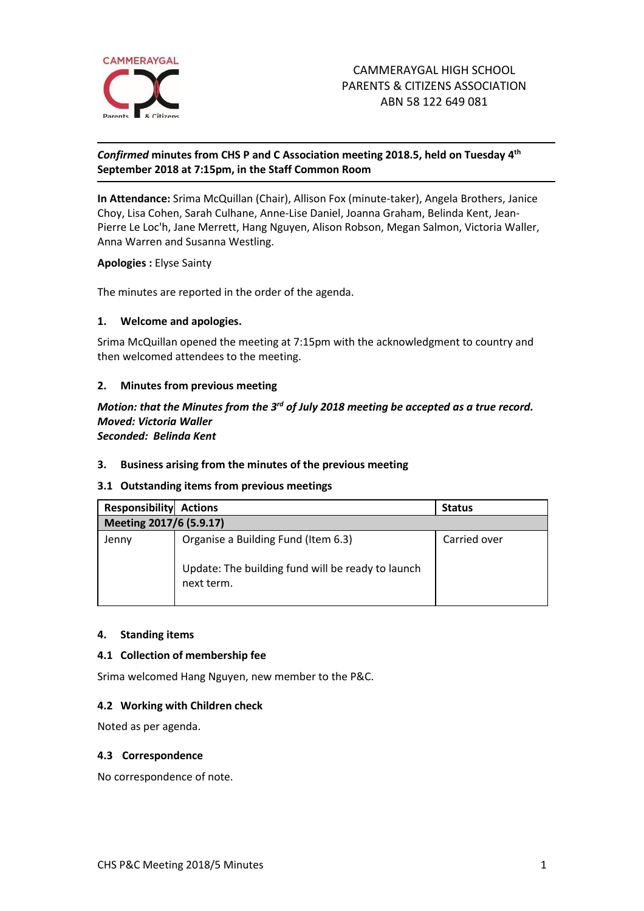

# *Confirmed* **minutes from CHS P and C Association meeting 2018.5, held on Tuesday 4 th September 2018 at 7:15pm, in the Staff Common Room**

**In Attendance:** Srima McQuillan (Chair), Allison Fox (minute-taker), Angela Brothers, Janice Choy, Lisa Cohen, Sarah Culhane, Anne-Lise Daniel, Joanna Graham, Belinda Kent, Jean-Pierre Le Loc'h, Jane Merrett, Hang Nguyen, Alison Robson, Megan Salmon, Victoria Waller, Anna Warren and Susanna Westling.

**Apologies :** Elyse Sainty

The minutes are reported in the order of the agenda.

### **1. Welcome and apologies.**

Srima McQuillan opened the meeting at 7:15pm with the acknowledgment to country and then welcomed attendees to the meeting.

## **2. Minutes from previous meeting**

### Motion: that the Minutes from the 3<sup>rd</sup> of July 2018 meeting be accepted as a true record. *Moved: Victoria Waller Seconded: Belinda Kent*

## **3. Business arising from the minutes of the previous meeting**

## **3.1 Outstanding items from previous meetings**

| <b>Responsibility</b>   | <b>Actions</b>                                                                                         | <b>Status</b> |
|-------------------------|--------------------------------------------------------------------------------------------------------|---------------|
| Meeting 2017/6 (5.9.17) |                                                                                                        |               |
| Jenny                   | Organise a Building Fund (Item 6.3)<br>Update: The building fund will be ready to launch<br>next term. | Carried over  |

### **4. Standing items**

### **4.1 Collection of membership fee**

Srima welcomed Hang Nguyen, new member to the P&C.

### **4.2 Working with Children check**

Noted as per agenda.

### **4.3 Correspondence**

No correspondence of note.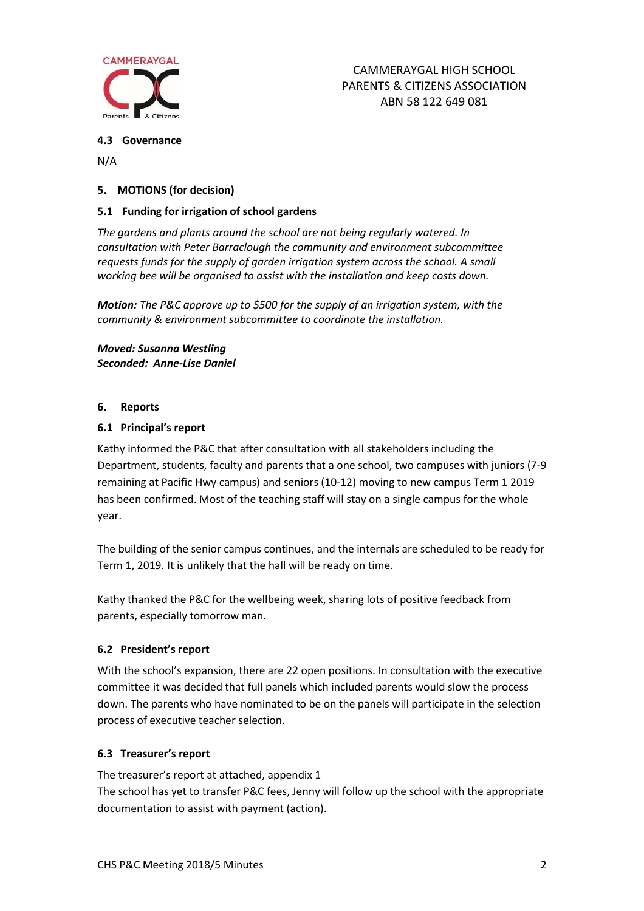

## **4.3 Governance**

N/A

# **5. MOTIONS (for decision)**

## **5.1 Funding for irrigation of school gardens**

*The gardens and plants around the school are not being regularly watered. In consultation with Peter Barraclough the community and environment subcommittee requests funds for the supply of garden irrigation system across the school. A small working bee will be organised to assist with the installation and keep costs down.*

*Motion: The P&C approve up to \$500 for the supply of an irrigation system, with the community & environment subcommittee to coordinate the installation.*

*Moved: Susanna Westling Seconded: Anne-Lise Daniel* 

## **6. Reports**

## **6.1 Principal's report**

Kathy informed the P&C that after consultation with all stakeholders including the Department, students, faculty and parents that a one school, two campuses with juniors (7-9 remaining at Pacific Hwy campus) and seniors (10-12) moving to new campus Term 1 2019 has been confirmed. Most of the teaching staff will stay on a single campus for the whole year.

The building of the senior campus continues, and the internals are scheduled to be ready for Term 1, 2019. It is unlikely that the hall will be ready on time.

Kathy thanked the P&C for the wellbeing week, sharing lots of positive feedback from parents, especially tomorrow man.

# **6.2 President's report**

With the school's expansion, there are 22 open positions. In consultation with the executive committee it was decided that full panels which included parents would slow the process down. The parents who have nominated to be on the panels will participate in the selection process of executive teacher selection.

# **6.3 Treasurer's report**

The treasurer's report at attached, appendix 1 The school has yet to transfer P&C fees, Jenny will follow up the school with the appropriate documentation to assist with payment (action).